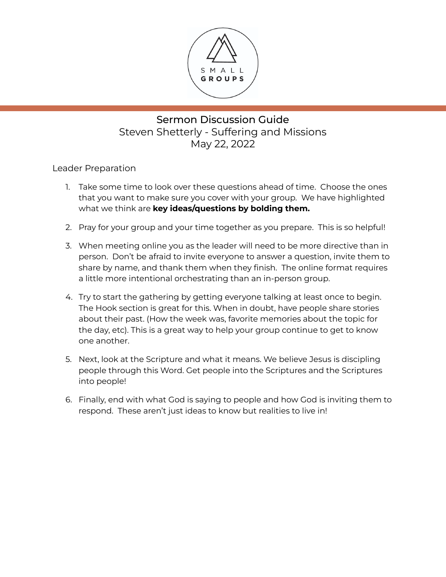

# Sermon Discussion Guide Steven Shetterly - Suffering and Missions May 22, 2022

Leader Preparation

- 1. Take some time to look over these questions ahead of time. Choose the ones that you want to make sure you cover with your group. We have highlighted what we think are **key ideas/questions by bolding them.**
- 2. Pray for your group and your time together as you prepare. This is so helpful!
- 3. When meeting online you as the leader will need to be more directive than in person. Don't be afraid to invite everyone to answer a question, invite them to share by name, and thank them when they finish. The online format requires a little more intentional orchestrating than an in-person group.
- 4. Try to start the gathering by getting everyone talking at least once to begin. The Hook section is great for this. When in doubt, have people share stories about their past. (How the week was, favorite memories about the topic for the day, etc). This is a great way to help your group continue to get to know one another.
- 5. Next, look at the Scripture and what it means. We believe Jesus is discipling people through this Word. Get people into the Scriptures and the Scriptures into people!
- 6. Finally, end with what God is saying to people and how God is inviting them to respond. These aren't just ideas to know but realities to live in!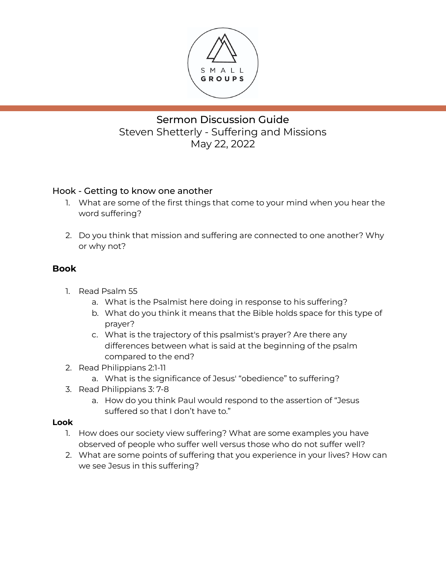

# Sermon Discussion Guide Steven Shetterly - Suffering and Missions May 22, 2022

### Hook - Getting to know one another

- 1. What are some of the first things that come to your mind when you hear the word suffering?
- 2. Do you think that mission and suffering are connected to one another? Why or why not?

### **Book**

- 1. Read Psalm 55
	- a. What is the Psalmist here doing in response to his suffering?
	- b. What do you think it means that the Bible holds space for this type of prayer?
	- c. What is the trajectory of this psalmist's prayer? Are there any differences between what is said at the beginning of the psalm compared to the end?
- 2. Read Philippians 2:1-11
	- a. What is the significance of Jesus' "obedience" to suffering?
- 3. Read Philippians 3: 7-8
	- a. How do you think Paul would respond to the assertion of "Jesus suffered so that I don't have to."

#### **Look**

- 1. How does our society view suffering? What are some examples you have observed of people who suffer well versus those who do not suffer well?
- 2. What are some points of suffering that you experience in your lives? How can we see Jesus in this suffering?